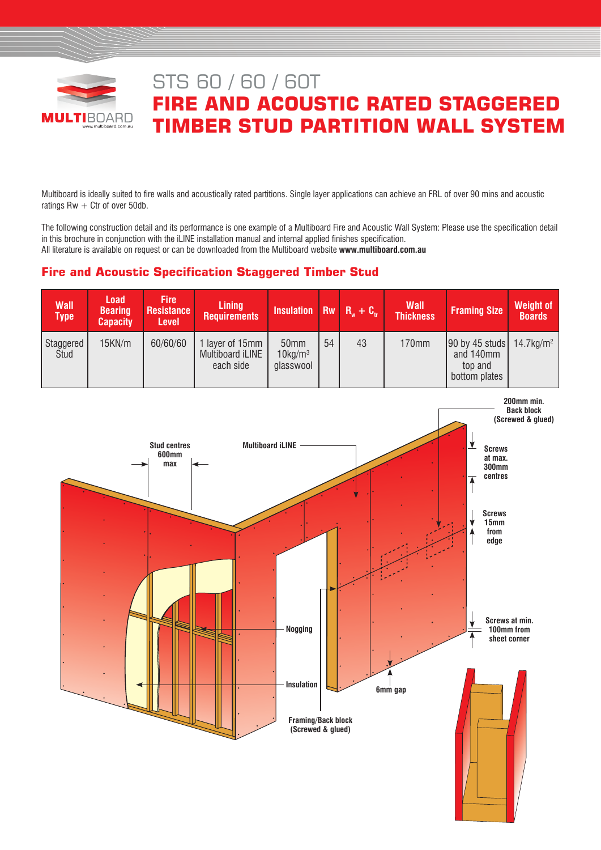

# STS 60 / 60 / 60T **FIRE AND ACOUSTIC RATED STAGGERED TIMBER STUD PARTITION WALL SYSTEM**

Multiboard is ideally suited to fire walls and acoustically rated partitions. Single layer applications can achieve an FRL of over 90 mins and acoustic ratings  $Rw + Ctr$  of over 50db.

The following construction detail and its performance is one example of a Multiboard Fire and Acoustic Wall System: Please use the specification detail in this brochure in conjunction with the iLINE installation manual and internal applied finishes specification. All literature is available on request or can be downloaded from the Multiboard website **www.multiboard.com.au**

# **Fire and Acoustic Specification Staggered Timber Stud**

| <b>Wall</b><br><b>Type</b> | <b>Load</b><br><b>Bearing</b><br><b>Capacity</b> | <b>Fire</b><br><b>Resistance</b><br>Level | <b>Lining</b><br><b>Requirements</b>           | Insulation Rw $R_w + C_w$                      |    |    | <b>Wall</b><br><b>Thickness</b> | <b>Framing Size</b>                                                          | <b>Weight of</b><br><b>Boards</b> |
|----------------------------|--------------------------------------------------|-------------------------------------------|------------------------------------------------|------------------------------------------------|----|----|---------------------------------|------------------------------------------------------------------------------|-----------------------------------|
| Staggered<br>Stud          | 15KN/m                                           | 60/60/60                                  | layer of 15mm<br>Multiboard iLINE<br>each side | 50 <sub>mm</sub><br>$10$ kg/m $3$<br>glasswool | 54 | 43 | 170mm                           | 90 by 45 studs $14.7 \text{kg/m}^2$<br>and 140mm<br>top and<br>bottom plates |                                   |